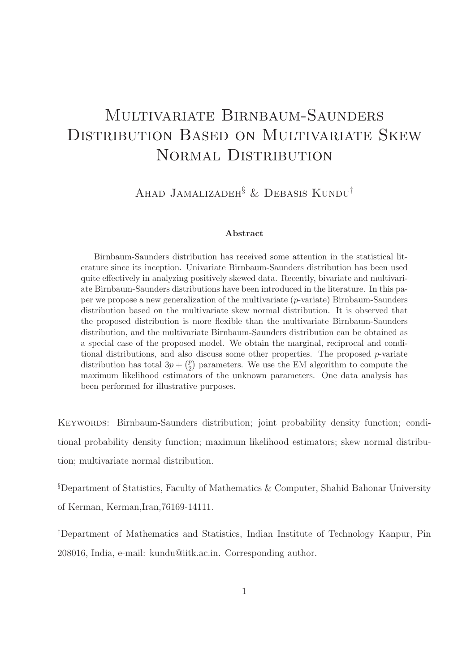# Multivariate Birnbaum-Saunders Distribution Based on Multivariate Skew NORMAL DISTRIBUTION

Ahad Jamalizadeh§ & Debasis Kundu†

#### Abstract

Birnbaum-Saunders distribution has received some attention in the statistical literature since its inception. Univariate Birnbaum-Saunders distribution has been used quite effectively in analyzing positively skewed data. Recently, bivariate and multivariate Birnbaum-Saunders distributions have been introduced in the literature. In this paper we propose a new generalization of the multivariate  $(p$ -variate) Birnbaum-Saunders distribution based on the multivariate skew normal distribution. It is observed that the proposed distribution is more flexible than the multivariate Birnbaum-Saunders distribution, and the multivariate Birnbaum-Saunders distribution can be obtained as a special case of the proposed model. We obtain the marginal, reciprocal and conditional distributions, and also discuss some other properties. The proposed  $p$ -variate distribution has total  $3p + \binom{p}{2}$  $\binom{p}{2}$  parameters. We use the EM algorithm to compute the maximum likelihood estimators of the unknown parameters. One data analysis has been performed for illustrative purposes.

Keywords: Birnbaum-Saunders distribution; joint probability density function; conditional probability density function; maximum likelihood estimators; skew normal distribution; multivariate normal distribution.

§Department of Statistics, Faculty of Mathematics & Computer, Shahid Bahonar University of Kerman, Kerman,Iran,76169-14111.

†Department of Mathematics and Statistics, Indian Institute of Technology Kanpur, Pin 208016, India, e-mail: kundu@iitk.ac.in. Corresponding author.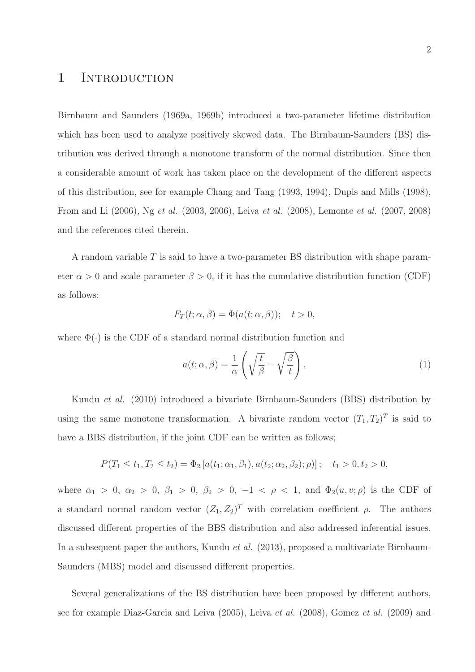## 1 INTRODUCTION

Birnbaum and Saunders (1969a, 1969b) introduced a two-parameter lifetime distribution which has been used to analyze positively skewed data. The Birnbaum-Saunders (BS) distribution was derived through a monotone transform of the normal distribution. Since then a considerable amount of work has taken place on the development of the different aspects of this distribution, see for example Chang and Tang (1993, 1994), Dupis and Mills (1998), From and Li (2006), Ng et al. (2003, 2006), Leiva et al. (2008), Lemonte et al. (2007, 2008) and the references cited therein.

A random variable T is said to have a two-parameter BS distribution with shape parameter  $\alpha > 0$  and scale parameter  $\beta > 0$ , if it has the cumulative distribution function (CDF) as follows:

$$
F_T(t; \alpha, \beta) = \Phi(a(t; \alpha, \beta)); \quad t > 0,
$$

where  $\Phi(\cdot)$  is the CDF of a standard normal distribution function and

$$
a(t; \alpha, \beta) = \frac{1}{\alpha} \left( \sqrt{\frac{t}{\beta}} - \sqrt{\frac{\beta}{t}} \right).
$$
 (1)

Kundu et al. (2010) introduced a bivariate Birnbaum-Saunders (BBS) distribution by using the same monotone transformation. A bivariate random vector  $(T_1, T_2)^T$  is said to have a BBS distribution, if the joint CDF can be written as follows;

$$
P(T_1 \le t_1, T_2 \le t_2) = \Phi_2\left[a(t_1; \alpha_1, \beta_1), a(t_2; \alpha_2, \beta_2); \rho\right]; \quad t_1 > 0, t_2 > 0,
$$

where  $\alpha_1 > 0$ ,  $\alpha_2 > 0$ ,  $\beta_1 > 0$ ,  $\beta_2 > 0$ ,  $-1 < \rho < 1$ , and  $\Phi_2(u, v; \rho)$  is the CDF of a standard normal random vector  $(Z_1, Z_2)^T$  with correlation coefficient  $\rho$ . The authors discussed different properties of the BBS distribution and also addressed inferential issues. In a subsequent paper the authors, Kundu *et al.* (2013), proposed a multivariate Birnbaum-Saunders (MBS) model and discussed different properties.

Several generalizations of the BS distribution have been proposed by different authors, see for example Diaz-Garcia and Leiva (2005), Leiva et al. (2008), Gomez et al. (2009) and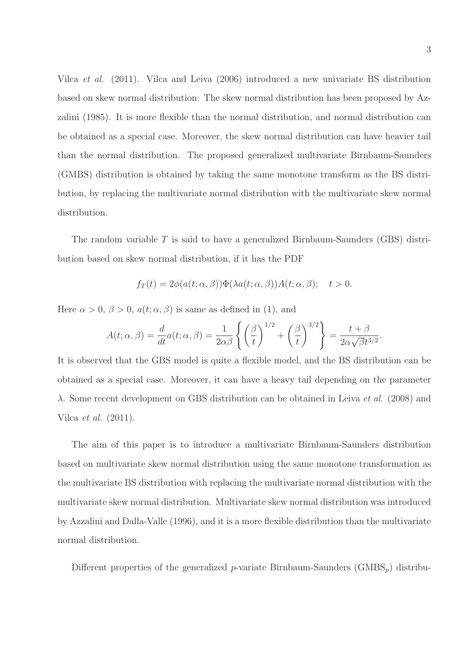Vilca et al. (2011). Vilca and Leiva (2006) introduced a new univariate BS distribution based on skew normal distribution. The skew normal distribution has been proposed by Azzalini (1985). It is more flexible than the normal distribution, and normal distribution can be obtained as a special case. Moreover, the skew normal distribution can have heavier tail than the normal distribution. The proposed generalized multivariate Birnbaum-Saunders (GMBS) distribution is obtained by taking the same monotone transform as the BS distribution, by replacing the multivariate normal distribution with the multivariate skew normal distribution.

The random variable  $T$  is said to have a generalized Birnbaum-Saunders (GBS) distribution based on skew normal distribution, if it has the PDF

$$
f_T(t) = 2\phi(a(t; \alpha, \beta))\Phi(\lambda a(t; \alpha, \beta))A(t; \alpha, \beta); \quad t > 0.
$$

Here  $\alpha > 0$ ,  $\beta > 0$ ,  $a(t; \alpha, \beta)$  is same as defined in (1), and

$$
A(t; \alpha, \beta) = \frac{d}{dt} a(t; \alpha, \beta) = \frac{1}{2\alpha\beta} \left\{ \left(\frac{\beta}{t}\right)^{1/2} + \left(\frac{\beta}{t}\right)^{3/2} \right\} = \frac{t + \beta}{2\alpha\sqrt{\beta}t^{3/2}}.
$$

It is observed that the GBS model is quite a flexible model, and the BS distribution can be obtained as a special case. Moreover, it can have a heavy tail depending on the parameter λ. Some recent development on GBS distribution can be obtained in Leiva *et al.* (2008) and Vilca et al. (2011).

The aim of this paper is to introduce a multivariate Birnbaum-Saunders distribution based on multivariate skew normal distribution using the same monotone transformation as the multivariate BS distribution with replacing the multivariate normal distribution with the multivariate skew normal distribution. Multivariate skew normal distribution was introduced by Azzalini and Dalla-Valle (1996), and it is a more flexible distribution than the multivariate normal distribution.

Different properties of the generalized p-variate Birnbaum-Saunders (GMBS<sub>p</sub>) distribu-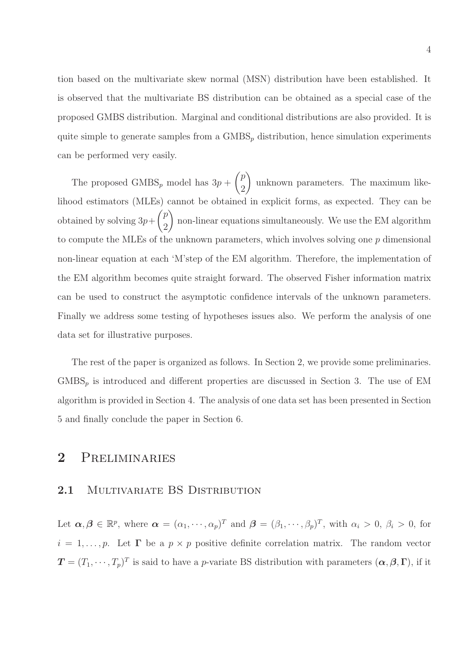tion based on the multivariate skew normal (MSN) distribution have been established. It is observed that the multivariate BS distribution can be obtained as a special case of the proposed GMBS distribution. Marginal and conditional distributions are also provided. It is quite simple to generate samples from a  $\text{GMBS}_p$  distribution, hence simulation experiments can be performed very easily.

The proposed  $\text{GMBS}_p$  model has  $3p +$  $\sqrt{p}$ 2  $\overline{\phantom{0}}$ unknown parameters. The maximum likelihood estimators (MLEs) cannot be obtained in explicit forms, as expected. They can be obtained by solving  $3p+$  $\sqrt{p}$ 2  $\setminus$ non-linear equations simultaneously. We use the EM algorithm to compute the MLEs of the unknown parameters, which involves solving one p dimensional non-linear equation at each 'M'step of the EM algorithm. Therefore, the implementation of the EM algorithm becomes quite straight forward. The observed Fisher information matrix can be used to construct the asymptotic confidence intervals of the unknown parameters. Finally we address some testing of hypotheses issues also. We perform the analysis of one data set for illustrative purposes.

The rest of the paper is organized as follows. In Section 2, we provide some preliminaries.  $GMBS<sub>p</sub>$  is introduced and different properties are discussed in Section 3. The use of EM algorithm is provided in Section 4. The analysis of one data set has been presented in Section 5 and finally conclude the paper in Section 6.

## 2 Preliminaries

#### 2.1 MULTIVARIATE BS DISTRIBUTION

Let  $\boldsymbol{\alpha}, \boldsymbol{\beta} \in \mathbb{R}^p$ , where  $\boldsymbol{\alpha} = (\alpha_1, \dots, \alpha_p)^T$  and  $\boldsymbol{\beta} = (\beta_1, \dots, \beta_p)^T$ , with  $\alpha_i > 0$ ,  $\beta_i > 0$ , for  $i = 1, \ldots, p$ . Let  $\Gamma$  be a  $p \times p$  positive definite correlation matrix. The random vector  $\mathbf{T}=(T_1,\cdots,T_p)^T$  is said to have a p-variate BS distribution with parameters  $(\alpha,\beta,\Gamma)$ , if it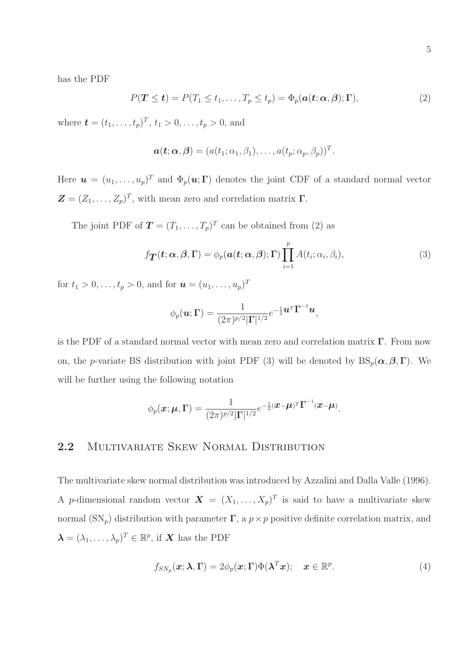has the PDF

$$
P(\mathbf{T} \leq t) = P(T_1 \leq t_1, \dots, T_p \leq t_p) = \Phi_p(\mathbf{a}(t; \mathbf{\alpha}, \mathbf{\beta}); \mathbf{\Gamma}), \tag{2}
$$

where  $\mathbf{t} = (t_1, \ldots, t_p)^T$ ,  $t_1 > 0, \ldots, t_p > 0$ , and

$$
\boldsymbol{a}(\boldsymbol{t};\boldsymbol{\alpha},\boldsymbol{\beta})=(a(t_1;\alpha_1,\beta_1),\ldots,a(t_p;\alpha_p,\beta_p))^T.
$$

Here  $\mathbf{u} = (u_1, \dots, u_p)^T$  and  $\Phi_p(\mathbf{u}; \mathbf{\Gamma})$  denotes the joint CDF of a standard normal vector  $\mathbf{Z} = (Z_1, \ldots, Z_p)^T$ , with mean zero and correlation matrix  $\boldsymbol{\Gamma}$ .

The joint PDF of  $\mathbf{T} = (T_1, \ldots, T_p)^T$  can be obtained from (2) as

$$
f_{\boldsymbol{T}}(\boldsymbol{t};\boldsymbol{\alpha},\boldsymbol{\beta},\boldsymbol{\Gamma})=\phi_p(\boldsymbol{a}(\boldsymbol{t};\boldsymbol{\alpha},\boldsymbol{\beta});\boldsymbol{\Gamma})\prod_{i=1}^pA(t_i;\alpha_i,\beta_i),
$$
\n(3)

for  $t_1 > 0, \ldots, t_p > 0$ , and for  $\mathbf{u} = (u_1, \ldots, u_p)^T$ 

$$
\phi_p(\boldsymbol{u}; \boldsymbol{\Gamma}) = \frac{1}{(2\pi)^{p/2} |\boldsymbol{\Gamma}|^{1/2}} e^{-\frac{1}{2} \boldsymbol{u}^T \boldsymbol{\Gamma}^{-1} \boldsymbol{u}},
$$

is the PDF of a standard normal vector with mean zero and correlation matrix  $\Gamma$ . From now on, the p-variate BS distribution with joint PDF (3) will be denoted by  $BS_p(\alpha, \beta, \Gamma)$ . We will be further using the following notation

$$
\phi_p(\boldsymbol{x};\boldsymbol{\mu},\boldsymbol{\Gamma})=\frac{1}{(2\pi)^{p/2}|\boldsymbol{\Gamma}|^{1/2}}e^{-\frac{1}{2}(\boldsymbol{x}-\boldsymbol{\mu})^T\boldsymbol{\Gamma}^{-1}(\boldsymbol{x}-\boldsymbol{\mu})}.
$$

### 2.2 MULTIVARIATE SKEW NORMAL DISTRIBUTION

The multivariate skew normal distribution was introduced by Azzalini and Dalla Valle (1996). A p-dimensional random vector  $\mathbf{X} = (X_1, \ldots, X_p)^T$  is said to have a multivariate skew normal  $(SN_p)$  distribution with parameter  $\Gamma$ , a  $p \times p$  positive definite correlation matrix, and  $\boldsymbol{\lambda} = (\lambda_1, \dots, \lambda_p)^T \in \mathbb{R}^p$ , if **X** has the PDF

$$
f_{SN_p}(\boldsymbol{x}; \boldsymbol{\lambda}, \boldsymbol{\Gamma}) = 2\phi_p(\boldsymbol{x}; \boldsymbol{\Gamma}) \Phi(\boldsymbol{\lambda}^T \boldsymbol{x}); \quad \boldsymbol{x} \in \mathbb{R}^p.
$$
 (4)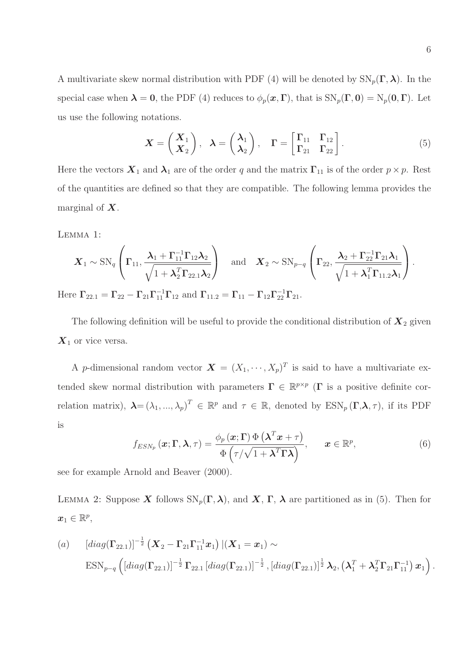A multivariate skew normal distribution with PDF (4) will be denoted by  $SN_p(\Gamma,\lambda)$ . In the special case when  $\lambda = 0$ , the PDF (4) reduces to  $\phi_p(\mathbf{x}, \mathbf{\Gamma})$ , that is  $SN_p(\mathbf{\Gamma}, 0) = N_p(0, \mathbf{\Gamma})$ . Let us use the following notations.

$$
\boldsymbol{X} = \begin{pmatrix} \boldsymbol{X}_1 \\ \boldsymbol{X}_2 \end{pmatrix}, \quad \boldsymbol{\lambda} = \begin{pmatrix} \boldsymbol{\lambda}_1 \\ \boldsymbol{\lambda}_2 \end{pmatrix}, \quad \boldsymbol{\Gamma} = \begin{bmatrix} \Gamma_{11} & \Gamma_{12} \\ \Gamma_{21} & \Gamma_{22} \end{bmatrix} . \tag{5}
$$

Here the vectors  $\mathbf{X}_1$  and  $\lambda_1$  are of the order q and the matrix  $\Gamma_{11}$  is of the order  $p \times p$ . Rest of the quantities are defined so that they are compatible. The following lemma provides the marginal of  $X$ .

Lemma 1:

$$
\boldsymbol{X}_1 \sim \mathrm{SN}_q \left( \boldsymbol{\Gamma}_{11}, \frac{\boldsymbol{\lambda}_1 + \boldsymbol{\Gamma}_{11}^{-1} \boldsymbol{\Gamma}_{12} \boldsymbol{\lambda}_2}{\sqrt{1 + \boldsymbol{\lambda}_2^T \boldsymbol{\Gamma}_{22.1} \boldsymbol{\lambda}_2}} \right) \quad \text{and} \quad \boldsymbol{X}_2 \sim \mathrm{SN}_{p-q} \left( \boldsymbol{\Gamma}_{22}, \frac{\boldsymbol{\lambda}_2 + \boldsymbol{\Gamma}_{22}^{-1} \boldsymbol{\Gamma}_{21} \boldsymbol{\lambda}_1}{\sqrt{1 + \boldsymbol{\lambda}_1^T \boldsymbol{\Gamma}_{11.2} \boldsymbol{\lambda}_1}} \right).
$$

Here  $\Gamma_{22.1} = \Gamma_{22} - \Gamma_{21} \Gamma_{11}^{-1} \Gamma_{12}$  and  $\Gamma_{11.2} = \Gamma_{11} - \Gamma_{12} \Gamma_{22}^{-1} \Gamma_{21}$ .

The following definition will be useful to provide the conditional distribution of  $\mathbf{X}_2$  given  $X_1$  or vice versa.

A p-dimensional random vector  $\mathbf{X} = (X_1, \dots, X_p)^T$  is said to have a multivariate extended skew normal distribution with parameters  $\Gamma \in \mathbb{R}^{p \times p}$  ( $\Gamma$  is a positive definite correlation matrix),  $\boldsymbol{\lambda} = (\lambda_1, ..., \lambda_p)^T \in \mathbb{R}^p$  and  $\tau \in \mathbb{R}$ , denoted by  $\text{ESN}_p(\boldsymbol{\Gamma}, \boldsymbol{\lambda}, \tau)$ , if its PDF is

$$
f_{ESN_p}(\boldsymbol{x}; \boldsymbol{\Gamma}, \boldsymbol{\lambda}, \tau) = \frac{\phi_p(\boldsymbol{x}; \boldsymbol{\Gamma}) \Phi\left(\boldsymbol{\lambda}^T \boldsymbol{x} + \tau\right)}{\Phi\left(\tau/\sqrt{1 + \boldsymbol{\lambda}^T \boldsymbol{\Gamma} \boldsymbol{\lambda}}\right)}, \qquad \boldsymbol{x} \in \mathbb{R}^p,
$$
\n(6)

see for example Arnold and Beaver (2000).

LEMMA 2: Suppose X follows  $SN_p(\Gamma,\lambda)$ , and X,  $\Gamma$ ,  $\lambda$  are partitioned as in (5). Then for  $\boldsymbol{x}_1 \in \mathbb{R}^p,$ 

(a) 
$$
[diag(\Gamma_{22.1})]^{-\frac{1}{2}} (X_2 - \Gamma_{21} \Gamma_{11}^{-1} x_1) | (X_1 = x_1) \sim
$$
  
\n $ESN_{p-q} ([diag(\Gamma_{22.1})]^{-\frac{1}{2}} \Gamma_{22.1} [diag(\Gamma_{22.1})]^{-\frac{1}{2}}, [diag(\Gamma_{22.1})]^{\frac{1}{2}} \lambda_2, (\lambda_1^T + \lambda_2^T \Gamma_{21} \Gamma_{11}^{-1}) x_1 ).$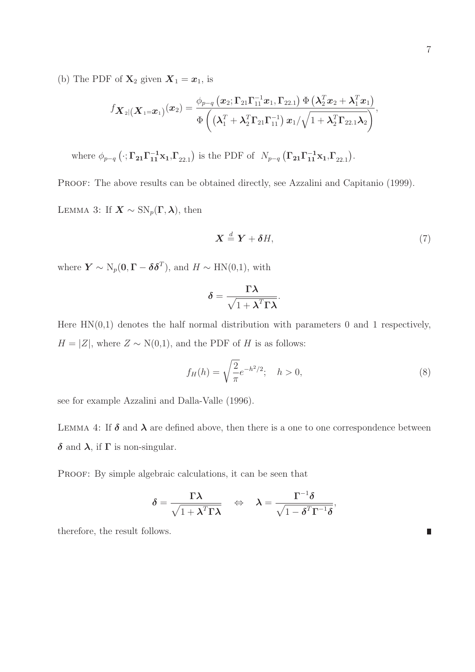(b) The PDF of  $\mathbf{X}_2$  given  $\mathbf{X}_1 = \mathbf{x}_1$ , is

$$
f_{\boldsymbol{X}_2|(\boldsymbol{X}_1=\boldsymbol{x}_1)}(\boldsymbol{x}_2) = \frac{\phi_{p-q}\left(\boldsymbol{x}_2; \boldsymbol{\Gamma}_{21}\boldsymbol{\Gamma}_{11}^{-1}\boldsymbol{x}_1, \boldsymbol{\Gamma}_{22.1}\right)\Phi\left(\boldsymbol{\lambda}_2^T\boldsymbol{x}_2 + \boldsymbol{\lambda}_1^T\boldsymbol{x}_1\right)}{\Phi\left((\boldsymbol{\lambda}_1^T + \boldsymbol{\lambda}_2^T\boldsymbol{\Gamma}_{21}\boldsymbol{\Gamma}_{11}^{-1})\ \boldsymbol{x}_1/\sqrt{1 + \boldsymbol{\lambda}_2^T\boldsymbol{\Gamma}_{22.1}\boldsymbol{\lambda}_2}\right)},
$$

where  $\phi_{p-q}$  ( $\cdot; \Gamma_{21}\Gamma_{11}^{-1}x_1, \Gamma_{22.1}$ ) is the PDF of  $N_{p-q}$  ( $\Gamma_{21}\Gamma_{11}^{-1}x_1, \Gamma_{22.1}$ ).

PROOF: The above results can be obtained directly, see Azzalini and Capitanio (1999). LEMMA 3: If  $\mathbf{X} \sim \mathrm{SN}_p(\Gamma, \lambda)$ , then

$$
\mathbf{X} \stackrel{d}{=} \mathbf{Y} + \boldsymbol{\delta} H,\tag{7}
$$

where  $\boldsymbol{Y} \sim \mathrm{N}_p(\boldsymbol{0}, \boldsymbol{\Gamma} - \boldsymbol{\delta} \boldsymbol{\delta}^T)$ , and  $H \sim \mathrm{HN}(0, 1)$ , with

$$
\delta = \frac{\Gamma \lambda}{\sqrt{1 + \lambda^T \Gamma \lambda}}.
$$

Here  $HN(0,1)$  denotes the half normal distribution with parameters 0 and 1 respectively,  $H = |Z|$ , where  $Z \sim N(0,1)$ , and the PDF of H is as follows:

$$
f_H(h) = \sqrt{\frac{2}{\pi}} e^{-h^2/2}; \quad h > 0,
$$
\n(8)

see for example Azzalini and Dalla-Valle (1996).

LEMMA 4: If  $\delta$  and  $\lambda$  are defined above, then there is a one to one correspondence between δ and  $\lambda$ , if Γ is non-singular.

PROOF: By simple algebraic calculations, it can be seen that

$$
\delta = \frac{\Gamma \lambda}{\sqrt{1 + \lambda^T \Gamma \lambda}} \quad \Leftrightarrow \quad \lambda = \frac{\Gamma^{-1} \delta}{\sqrt{1 - \delta^T \Gamma^{-1} \delta}},
$$

therefore, the result follows.

П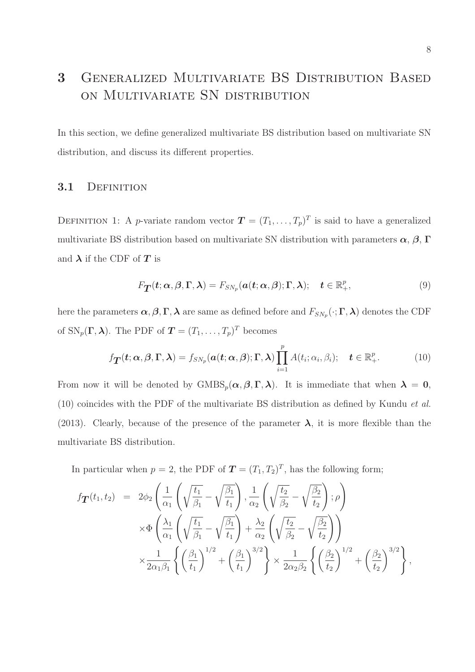## 3 Generalized Multivariate BS Distribution Based on Multivariate SN distribution

In this section, we define generalized multivariate BS distribution based on multivariate SN distribution, and discuss its different properties.

#### 3.1 DEFINITION

DEFINITION 1: A *p*-variate random vector  $\mathbf{T} = (T_1, \ldots, T_p)^T$  is said to have a generalized multivariate BS distribution based on multivariate SN distribution with parameters  $\alpha$ ,  $\beta$ ,  $\Gamma$ and  $\lambda$  if the CDF of  $T$  is

$$
F_{\mathbf{T}}(\boldsymbol{t}; \boldsymbol{\alpha}, \boldsymbol{\beta}, \boldsymbol{\Gamma}, \boldsymbol{\lambda}) = F_{SN_p}(\boldsymbol{a}(\boldsymbol{t}; \boldsymbol{\alpha}, \boldsymbol{\beta}); \boldsymbol{\Gamma}, \boldsymbol{\lambda}); \quad \boldsymbol{t} \in \mathbb{R}_+^p,
$$
\n(9)

here the parameters  $\alpha, \beta, \Gamma, \lambda$  are same as defined before and  $F_{SN_p}(\cdot; \Gamma, \lambda)$  denotes the CDF of  $SN_p(\Gamma, \lambda)$ . The PDF of  $\mathbf{T} = (T_1, \ldots, T_p)^T$  becomes

$$
f_{\boldsymbol{T}}(\boldsymbol{t};\boldsymbol{\alpha},\boldsymbol{\beta},\boldsymbol{\Gamma},\boldsymbol{\lambda})=f_{SN_p}(\boldsymbol{a}(\boldsymbol{t};\boldsymbol{\alpha},\boldsymbol{\beta});\boldsymbol{\Gamma},\boldsymbol{\lambda})\prod_{i=1}^pA(t_i;\alpha_i,\beta_i); \quad \boldsymbol{t}\in\mathbb{R}_+^p.
$$
 (10)

From now it will be denoted by  $\text{GMBS}_p(\alpha, \beta, \Gamma, \lambda)$ . It is immediate that when  $\lambda = 0$ , (10) coincides with the PDF of the multivariate BS distribution as defined by Kundu et al. (2013). Clearly, because of the presence of the parameter  $\lambda$ , it is more flexible than the multivariate BS distribution.

In particular when  $p = 2$ , the PDF of  $T = (T_1, T_2)^T$ , has the following form;

$$
f_{\mathbf{T}}(t_1, t_2) = 2\phi_2 \left( \frac{1}{\alpha_1} \left( \sqrt{\frac{t_1}{\beta_1}} - \sqrt{\frac{\beta_1}{t_1}} \right), \frac{1}{\alpha_2} \left( \sqrt{\frac{t_2}{\beta_2}} - \sqrt{\frac{\beta_2}{t_2}} \right); \rho \right)
$$
  

$$
\times \Phi \left( \frac{\lambda_1}{\alpha_1} \left( \sqrt{\frac{t_1}{\beta_1}} - \sqrt{\frac{\beta_1}{t_1}} \right) + \frac{\lambda_2}{\alpha_2} \left( \sqrt{\frac{t_2}{\beta_2}} - \sqrt{\frac{\beta_2}{t_2}} \right) \right)
$$
  

$$
\times \frac{1}{2\alpha_1 \beta_1} \left\{ \left( \frac{\beta_1}{t_1} \right)^{1/2} + \left( \frac{\beta_1}{t_1} \right)^{3/2} \right\} \times \frac{1}{2\alpha_2 \beta_2} \left\{ \left( \frac{\beta_2}{t_2} \right)^{1/2} + \left( \frac{\beta_2}{t_2} \right)^{3/2} \right\},
$$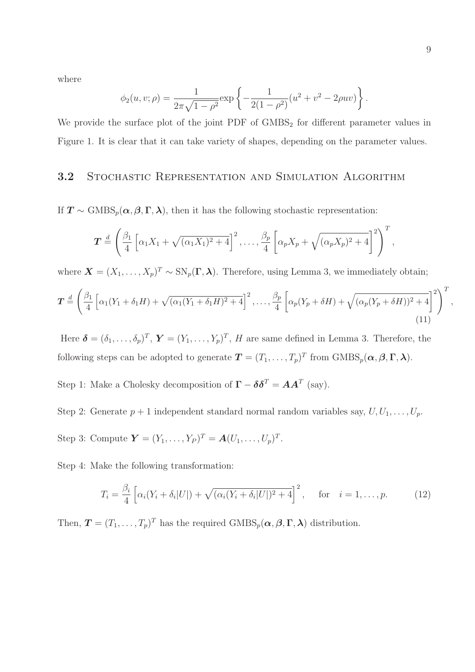where

$$
\phi_2(u, v; \rho) = \frac{1}{2\pi\sqrt{1 - \rho^2}} \exp\left\{-\frac{1}{2(1 - \rho^2)}(u^2 + v^2 - 2\rho uv)\right\}.
$$

We provide the surface plot of the joint  $PDF$  of  $GMBS<sub>2</sub>$  for different parameter values in Figure 1. It is clear that it can take variety of shapes, depending on the parameter values.

### 3.2 Stochastic Representation and Simulation Algorithm

If  $T \sim \text{GMBS}_p(\alpha, \beta, \Gamma, \lambda)$ , then it has the following stochastic representation:

$$
\boldsymbol{T} \stackrel{d}{=} \left( \frac{\beta_1}{4} \left[ \alpha_1 X_1 + \sqrt{(\alpha_1 X_1)^2 + 4} \right]^2, \ldots, \frac{\beta_p}{4} \left[ \alpha_p X_p + \sqrt{(\alpha_p X_p)^2 + 4} \right]^2 \right)^T,
$$

where  $\mathbf{X} = (X_1, \ldots, X_p)^T \sim SN_p(\mathbf{\Gamma}, \boldsymbol{\lambda})$ . Therefore, using Lemma 3, we immediately obtain;

$$
\boldsymbol{T} \stackrel{d}{=} \left(\frac{\beta_1}{4} \left[\alpha_1(Y_1 + \delta_1 H) + \sqrt{(\alpha_1(Y_1 + \delta_1 H)^2 + 4}\right]^2, \dots, \frac{\beta_p}{4} \left[\alpha_p(Y_p + \delta H) + \sqrt{(\alpha_p(Y_p + \delta H))^2 + 4}\right]^2\right)^T,
$$
\n(11)

Here  $\boldsymbol{\delta} = (\delta_1, \ldots, \delta_p)^T$ ,  $\boldsymbol{Y} = (Y_1, \ldots, Y_p)^T$ , H are same defined in Lemma 3. Therefore, the following steps can be adopted to generate  $\mathbf{T} = (T_1, \ldots, T_p)^T$  from  $\text{GMBS}_p(\boldsymbol{\alpha}, \boldsymbol{\beta}, \boldsymbol{\Gamma}, \boldsymbol{\lambda})$ .

Step 1: Make a Cholesky decomposition of  $\mathbf{\Gamma} - \boldsymbol{\delta} \boldsymbol{\delta}^T = \boldsymbol{A} \boldsymbol{A}^T$  (say).

Step 2: Generate  $p + 1$  independent standard normal random variables say,  $U, U_1, \ldots, U_p$ . Step 3: Compute  $Y = (Y_1, ..., Y_P)^T = A(U_1, ..., U_p)^T$ .

Step 4: Make the following transformation:

$$
T_i = \frac{\beta_i}{4} \left[ \alpha_i (Y_i + \delta_i |U|) + \sqrt{(\alpha_i (Y_i + \delta_i |U|)^2 + 4} \right]^2, \quad \text{for} \quad i = 1, \dots, p. \tag{12}
$$

Then,  $\mathbf{T} = (T_1, \ldots, T_p)^T$  has the required  $\text{GMBS}_p(\boldsymbol{\alpha}, \boldsymbol{\beta}, \boldsymbol{\Gamma}, \boldsymbol{\lambda})$  distribution.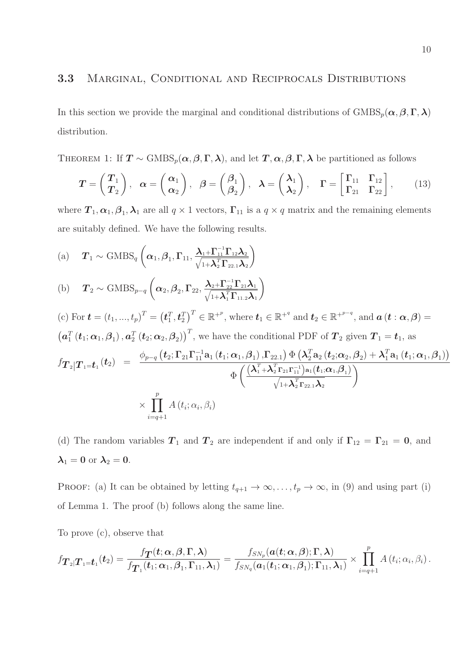In this section we provide the marginal and conditional distributions of  $\text{GMBS}_p(\alpha, \beta, \Gamma, \lambda)$ distribution.

THEOREM 1: If  $T \sim \text{GMBS}_p(\alpha, \beta, \Gamma, \lambda)$ , and let  $T, \alpha, \beta, \Gamma, \lambda$  be partitioned as follows

$$
T = \begin{pmatrix} T_1 \\ T_2 \end{pmatrix}, \quad \alpha = \begin{pmatrix} \alpha_1 \\ \alpha_2 \end{pmatrix}, \quad \beta = \begin{pmatrix} \beta_1 \\ \beta_2 \end{pmatrix}, \quad \lambda = \begin{pmatrix} \lambda_1 \\ \lambda_2 \end{pmatrix}, \quad \Gamma = \begin{bmatrix} \Gamma_{11} & \Gamma_{12} \\ \Gamma_{21} & \Gamma_{22} \end{bmatrix}, \tag{13}
$$

where  $T_1, \alpha_1, \beta_1, \lambda_1$  are all  $q \times 1$  vectors,  $\Gamma_{11}$  is a  $q \times q$  matrix and the remaining elements are suitably defined. We have the following results.

(a) 
$$
T_1 \sim \text{GMBS}_q\left(\alpha_1, \beta_1, \Gamma_{11}, \frac{\lambda_{1} + \Gamma_{11}^{-1} \Gamma_{12} \lambda_2}{\sqrt{1 + \lambda_2^T \Gamma_{22.1} \lambda_2}}\right)
$$

(b) 
$$
T_2 \sim \text{GMBS}_{p-q} \left( \alpha_2, \beta_2, \Gamma_{22}, \frac{\lambda_{2} + \Gamma_{22}^{-1} \Gamma_{21} \lambda_1}{\sqrt{1 + \lambda_1^T \Gamma_{11,2} \lambda_1}} \right)
$$

(c) For 
$$
\mathbf{t} = (t_1, ..., t_p)^T = (\mathbf{t}_1^T, \mathbf{t}_2^T)^T \in \mathbb{R}^{+p}
$$
, where  $\mathbf{t}_1 \in \mathbb{R}^{+q}$  and  $\mathbf{t}_2 \in \mathbb{R}^{+p-q}$ , and  $\mathbf{a}(\mathbf{t} : \boldsymbol{\alpha}, \boldsymbol{\beta}) =$   
\n $(\mathbf{a}_1^T (\mathbf{t}_1; \boldsymbol{\alpha}_1, \boldsymbol{\beta}_1), \mathbf{a}_2^T (\mathbf{t}_2; \boldsymbol{\alpha}_2, \boldsymbol{\beta}_2))^T$ , we have the conditional PDF of  $\mathbf{T}_2$  given  $\mathbf{T}_1 = \mathbf{t}_1$ , as  
\n
$$
f_{\mathbf{T}_2|\mathbf{T}_1 = \mathbf{t}_1}(\mathbf{t}_2) = \frac{\phi_{p-q} (\mathbf{t}_2; \Gamma_{21} \Gamma_{11}^{-1} \mathbf{a}_1 (\mathbf{t}_1; \boldsymbol{\alpha}_1, \boldsymbol{\beta}_1), \Gamma_{22.1}) \Phi \left( \lambda_2^T \mathbf{a}_2 (\mathbf{t}_2; \boldsymbol{\alpha}_2, \boldsymbol{\beta}_2) + \lambda_1^T \mathbf{a}_1 (\mathbf{t}_1; \boldsymbol{\alpha}_1, \boldsymbol{\beta}_1) \right)}{\Phi \left( \frac{(\lambda_1^T + \lambda_2^T \Gamma_{21} \Gamma_{11}^{-1}) \mathbf{a}_1 (\mathbf{t}_1; \boldsymbol{\alpha}_1, \boldsymbol{\beta}_1)}{\sqrt{1 + \lambda_2^T \Gamma_{22.1} \lambda_2}} \right)}
$$
\n
$$
\times \prod_{i=q+1}^{p} A(\mathbf{t}_i; \alpha_i, \beta_i)
$$

(d) The random variables  $T_1$  and  $T_2$  are independent if and only if  $\Gamma_{12} = \Gamma_{21} = 0$ , and  $\lambda_1 = 0$  or  $\lambda_2 = 0$ .

PROOF: (a) It can be obtained by letting  $t_{q+1} \to \infty, \ldots, t_p \to \infty$ , in (9) and using part (i) of Lemma 1. The proof (b) follows along the same line.

To prove (c), observe that

$$
f_{\boldsymbol{T}_2|\boldsymbol{T}_1=\boldsymbol{t}_1}(\boldsymbol{t}_2)=\frac{f_{\boldsymbol{T}}(\boldsymbol{t};\boldsymbol{\alpha},\boldsymbol{\beta},\boldsymbol{\Gamma},\boldsymbol{\lambda})}{f_{\boldsymbol{T}_1}(\boldsymbol{t}_1;\boldsymbol{\alpha}_1,\boldsymbol{\beta}_1,\boldsymbol{\Gamma}_{11},\boldsymbol{\lambda}_1)}=\frac{f_{SN_p}(\boldsymbol{a}(\boldsymbol{t};\boldsymbol{\alpha},\boldsymbol{\beta});\boldsymbol{\Gamma},\boldsymbol{\lambda})}{f_{SN_q}(\boldsymbol{a}_1(\boldsymbol{t}_1;\boldsymbol{\alpha}_1,\boldsymbol{\beta}_1);\boldsymbol{\Gamma}_{11},\boldsymbol{\lambda}_1)}\times\prod_{i=q+1}^{p}A\left(t_i;\alpha_i,\beta_i\right).
$$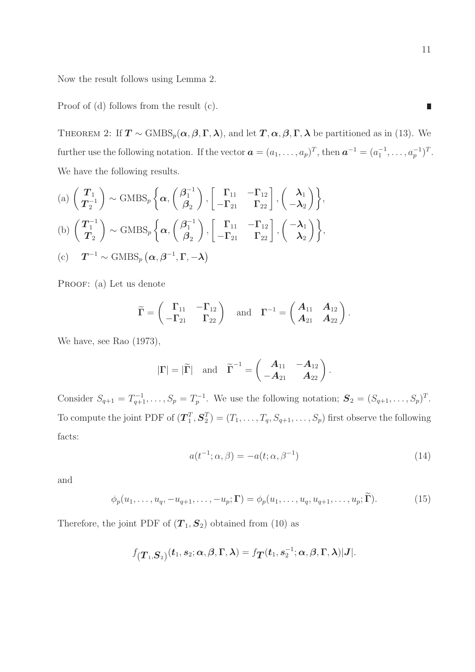Now the result follows using Lemma 2.

Proof of (d) follows from the result (c).

THEOREM 2: If  $T \sim \text{GMBS}_p(\alpha, \beta, \Gamma, \lambda)$ , and let  $T, \alpha, \beta, \Gamma, \lambda$  be partitioned as in (13). We further use the following notation. If the vector  $\boldsymbol{a} = (a_1, \ldots, a_p)^T$ , then  $\boldsymbol{a}^{-1} = (a_1^{-1}, \ldots, a_p^{-1})^T$ . We have the following results.

(a) 
$$
\left(\frac{T_1}{T_2}\right) \sim \text{GMBS}_p\left\{\alpha, \left(\frac{\beta_1^{-1}}{\beta_2}\right), \left[\begin{array}{cc} \Gamma_{11} & -\Gamma_{12} \\ -\Gamma_{21} & \Gamma_{22} \end{array}\right], \left(\begin{array}{c} \lambda_1 \\ -\lambda_2 \end{array}\right)\right\},\
$$
  
\n(b)  $\left(\frac{T_1^{-1}}{T_2}\right) \sim \text{GMBS}_p\left\{\alpha, \left(\frac{\beta_1^{-1}}{\beta_2}\right), \left[\begin{array}{cc} \Gamma_{11} & -\Gamma_{12} \\ -\Gamma_{21} & \Gamma_{22} \end{array}\right], \left(\begin{array}{c} -\lambda_1 \\ \lambda_2 \end{array}\right)\right\},\$   
\n(c)  $T^{-1} \sim \text{GMBS}_p\left(\alpha, \beta^{-1}, \Gamma, -\lambda\right)$ 

PROOF: (a) Let us denote

$$
\widetilde{\Gamma} = \begin{pmatrix} \Gamma_{11} & -\Gamma_{12} \\ -\Gamma_{21} & \Gamma_{22} \end{pmatrix} \text{ and } \Gamma^{-1} = \begin{pmatrix} A_{11} & A_{12} \\ A_{21} & A_{22} \end{pmatrix}.
$$

We have, see Rao (1973),

$$
|\Gamma|=|\widetilde{\Gamma}| \quad \text{and} \quad \widetilde{\Gamma}^{-1}=\begin{pmatrix} A_{11} & -A_{12} \\ -A_{21} & A_{22} \end{pmatrix}.
$$

Consider  $S_{q+1} = T_{q+1}^{-1}, \ldots, S_p = T_p^{-1}$ . We use the following notation;  $\mathbf{S}_2 = (S_{q+1}, \ldots, S_p)^T$ . To compute the joint PDF of  $({\bm{T}}_1^T)$  $_{1}^{T},\boldsymbol{S}_{2}^{T}$  $\mathcal{L}_{2}^{T}$ ) =  $(T_1, \ldots, T_q, S_{q+1}, \ldots, S_p)$  first observe the following facts:

$$
a(t^{-1}; \alpha, \beta) = -a(t; \alpha, \beta^{-1})
$$
\n(14)

and

$$
\phi_p(u_1,\ldots,u_q,-u_{q+1},\ldots,-u_p;\mathbf{\Gamma})=\phi_p(u_1,\ldots,u_q,u_{q+1},\ldots,u_p;\widetilde{\mathbf{\Gamma}}). \hspace{1cm} (15)
$$

Therefore, the joint PDF of  $(T_1, S_2)$  obtained from (10) as

$$
f_{\left(\boldsymbol{T}_{1},\boldsymbol{S}_{2}\right)}(\boldsymbol{t}_{1},\boldsymbol{s}_{2};\boldsymbol{\alpha},\boldsymbol{\beta},\boldsymbol{\Gamma},\boldsymbol{\lambda})=f_{\boldsymbol{T}}(\boldsymbol{t}_{1},\boldsymbol{s}_{2}^{-1};\boldsymbol{\alpha},\boldsymbol{\beta},\boldsymbol{\Gamma},\boldsymbol{\lambda})|\boldsymbol{J}|.
$$

П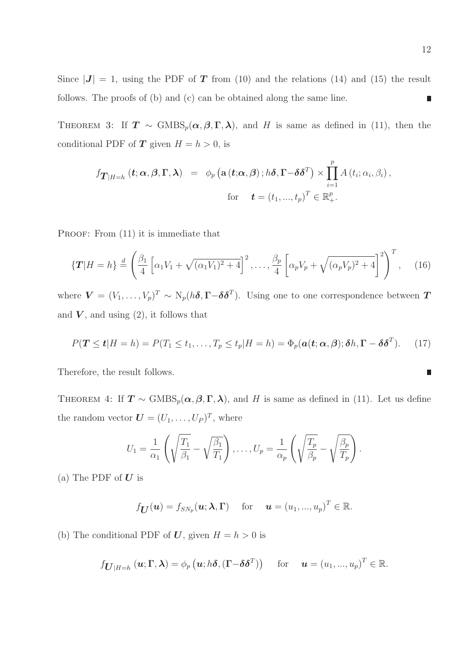Since  $|J| = 1$ , using the PDF of T from (10) and the relations (14) and (15) the result follows. The proofs of (b) and (c) can be obtained along the same line.  $\overline{\phantom{a}}$ 

THEOREM 3: If  $T \sim \text{GMBS}_p(\alpha, \beta, \Gamma, \lambda)$ , and H is same as defined in (11), then the conditional PDF of **T** given  $H = h > 0$ , is

$$
f_{\boldsymbol{T}|H=h} (t; \boldsymbol{\alpha}, \boldsymbol{\beta}, \boldsymbol{\Gamma}, \boldsymbol{\lambda}) = \phi_p \left( \mathbf{a} (t; \boldsymbol{\alpha}, \boldsymbol{\beta}) : h \boldsymbol{\delta}, \boldsymbol{\Gamma} - \boldsymbol{\delta} \boldsymbol{\delta}^T \right) \times \prod_{i=1}^p A(t_i; \alpha_i, \beta_i),
$$
  
for  $\boldsymbol{t} = (t_1, ..., t_p)^T \in \mathbb{R}_+^p.$ 

PROOF: From  $(11)$  it is immediate that

$$
\left\{T|H=h\right\} \stackrel{d}{=} \left(\frac{\beta_1}{4}\left[\alpha_1V_1+\sqrt{(\alpha_1V_1)^2+4}\right]^2,\ldots,\frac{\beta_p}{4}\left[\alpha_pV_p+\sqrt{(\alpha_pV_p)^2+4}\right]^2\right)^T,\tag{16}
$$

where  $\bm{V}=(V_1,\ldots,V_p)^T\sim \mathrm{N}_p(h\bm{\delta},\bm{\Gamma}-\bm{\delta}\bm{\delta}^T)$ . Using one to one correspondence between  $\bm{T}$ and  $V$ , and using  $(2)$ , it follows that

$$
P(\mathbf{T} \le \mathbf{t}|H=h) = P(T_1 \le t_1,\ldots,T_p \le t_p|H=h) = \Phi_p(\mathbf{a}(\mathbf{t};\alpha,\beta);\delta h,\mathbf{\Gamma}-\delta\delta^T). \tag{17}
$$

Therefore, the result follows.

THEOREM 4: If  $T \sim \text{GMBS}_p(\alpha, \beta, \Gamma, \lambda)$ , and H is same as defined in (11). Let us define the random vector  $\boldsymbol{U} = (U_1, \ldots, U_P)^T$ , where

$$
U_1 = \frac{1}{\alpha_1} \left( \sqrt{\frac{T_1}{\beta_1}} - \sqrt{\frac{\beta_1}{T_1}} \right), \dots, U_p = \frac{1}{\alpha_p} \left( \sqrt{\frac{T_p}{\beta_p}} - \sqrt{\frac{\beta_p}{T_p}} \right).
$$

(a) The PDF of  $\boldsymbol{U}$  is

$$
f_{\mathbf{U}}(\mathbf{u}) = f_{SN_p}(\mathbf{u}; \boldsymbol{\lambda}, \boldsymbol{\Gamma})
$$
 for  $\mathbf{u} = (u_1, ..., u_p)^T \in \mathbb{R}$ .

(b) The conditional PDF of U, given  $H = h > 0$  is

$$
f_{\boldsymbol{U}|H=h}}(\boldsymbol{u};\boldsymbol{\Gamma},\boldsymbol{\lambda})=\phi_p\left(\boldsymbol{u};h\boldsymbol{\delta},(\boldsymbol{\Gamma}-\boldsymbol{\delta}\boldsymbol{\delta}^T)\right)
$$
 for  $\boldsymbol{u}=(u_1,...,u_p)^T\in\mathbb{R}$ .

$$
\mathcal{L}_{\mathcal{A}}
$$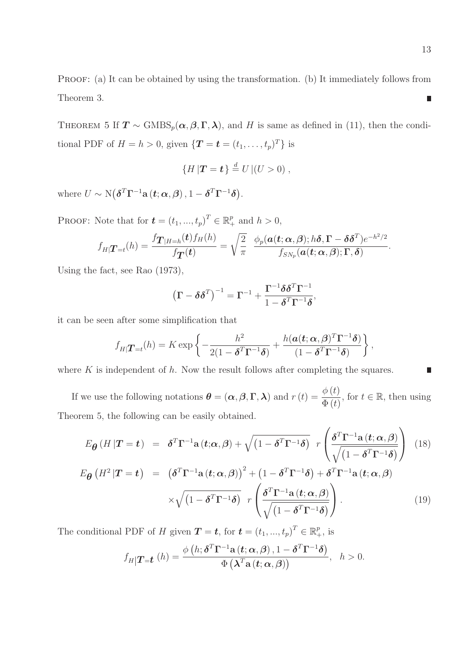PROOF: (a) It can be obtained by using the transformation. (b) It immediately follows from Theorem 3.  $\overline{\phantom{a}}$ 

THEOREM 5 If  $T \sim \text{GMBS}_p(\alpha, \beta, \Gamma, \lambda)$ , and H is same as defined in (11), then the conditional PDF of  $H = h > 0$ , given  $\{T = t = (t_1, \ldots, t_p)^T\}$  is

$$
\{H|\mathbf{T}=t\}\stackrel{d}{=}U|(U>0),
$$

where  $U \sim \text{N}(\boldsymbol{\delta}^T \boldsymbol{\Gamma}^{-1} \mathbf{a} \left( t; \boldsymbol{\alpha}, \boldsymbol{\beta} \right), 1 - \boldsymbol{\delta}^T \boldsymbol{\Gamma}^{-1} \boldsymbol{\delta}).$ 

PROOF: Note that for  $\mathbf{t} = (t_1, ..., t_p)^T \in \mathbb{R}_+^p$  and  $h > 0$ ,

$$
f_{H|T=t}(h) = \frac{f_{T|H=h}(t)f_H(h)}{f_T(t)} = \sqrt{\frac{2}{\pi}} \frac{\phi_p(a(t;\alpha,\beta);h\delta,\Gamma-\delta\delta^T)e^{-h^2/2}}{f_{SN_p}(a(t;\alpha,\beta);\Gamma,\delta)}.
$$

Using the fact, see Rao (1973),

$$
\left(\mathbf{\Gamma}-\boldsymbol{\delta\delta}^{T}\right)^{-1}=\mathbf{\Gamma}^{-1}+\frac{\mathbf{\Gamma}^{-1}\boldsymbol{\delta\delta}^{T}\mathbf{\Gamma}^{-1}}{1-\boldsymbol{\delta}^{T}\mathbf{\Gamma}^{-1}\boldsymbol{\delta}},
$$

it can be seen after some simplification that

$$
f_{H|T=t}(h) = K \exp\left\{-\frac{h^2}{2(1-\boldsymbol{\delta}^T\boldsymbol{\Gamma}^{-1}\boldsymbol{\delta})} + \frac{h(\boldsymbol{a}(t;\boldsymbol{\alpha},\boldsymbol{\beta})^T\boldsymbol{\Gamma}^{-1}\boldsymbol{\delta})}{(1-\boldsymbol{\delta}^T\boldsymbol{\Gamma}^{-1}\boldsymbol{\delta})}\right\},
$$

where  $K$  is independent of  $h$ . Now the result follows after completing the squares.

If we use the following notations  $\boldsymbol{\theta} = (\boldsymbol{\alpha}, \boldsymbol{\beta}, \boldsymbol{\Gamma}, \boldsymbol{\lambda})$  and  $r(t) = \frac{\phi(t)}{\Phi(t)}$  $\frac{\varphi(t)}{\Phi(t)}$ , for  $t \in \mathbb{R}$ , then using Theorem 5, the following can be easily obtained.

$$
E_{\theta}(H|T=t) = \delta^{T}\Gamma^{-1}\mathbf{a}(t;\alpha,\beta) + \sqrt{(1-\delta^{T}\Gamma^{-1}\delta)} r \left(\frac{\delta^{T}\Gamma^{-1}\mathbf{a}(t;\alpha,\beta)}{\sqrt{(1-\delta^{T}\Gamma^{-1}\delta)}}\right)
$$
(18)

$$
E_{\theta}\left(H^{2}|\mathbf{T}=t\right) = \left(\delta^{T}\Gamma^{-1}\mathbf{a}\left(t;\alpha,\beta\right)\right)^{2} + \left(1-\delta^{T}\Gamma^{-1}\delta\right) + \delta^{T}\Gamma^{-1}\mathbf{a}\left(t;\alpha,\beta\right) \times \sqrt{\left(1-\delta^{T}\Gamma^{-1}\delta\right)} \, r \left(\frac{\delta^{T}\Gamma^{-1}\mathbf{a}\left(t;\alpha,\beta\right)}{\sqrt{\left(1-\delta^{T}\Gamma^{-1}\delta\right)}}\right). \tag{19}
$$

The conditional PDF of H given  $\mathbf{T} = \mathbf{t}$ , for  $\mathbf{t} = (t_1, ..., t_p)^T \in \mathbb{R}_+^p$ , is

$$
f_{H}|\mathbf{T}_{=t}(h) = \frac{\phi\left(h;\boldsymbol{\delta}^{T}\boldsymbol{\Gamma}^{-1}\mathbf{a}\left(t;\boldsymbol{\alpha},\boldsymbol{\beta}\right),1-\boldsymbol{\delta}^{T}\boldsymbol{\Gamma}^{-1}\boldsymbol{\delta}\right)}{\Phi\left(\boldsymbol{\lambda}^{T}\mathbf{a}\left(t;\boldsymbol{\alpha},\boldsymbol{\beta}\right)\right)}, \quad h > 0.
$$

П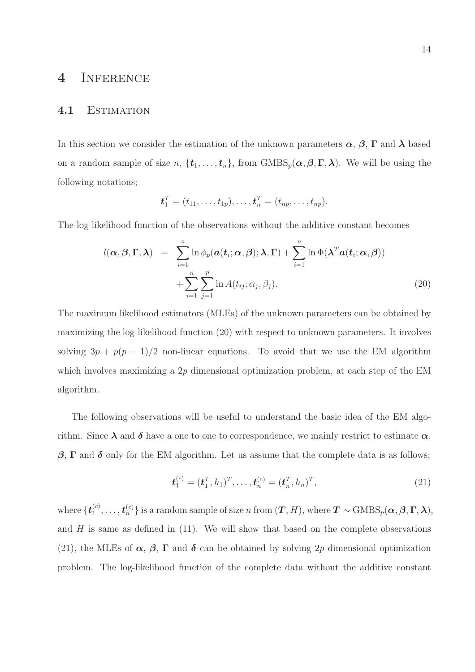## 4 Inference

#### 4.1 Estimation

In this section we consider the estimation of the unknown parameters  $\alpha$ ,  $\beta$ ,  $\Gamma$  and  $\lambda$  based on a random sample of size  $n, \{t_1, \ldots, t_n\}$ , from  $\text{GMBS}_p(\alpha, \beta, \Gamma, \lambda)$ . We will be using the following notations;

$$
\bm{t}_1^T = (t_{11}, \ldots, t_{1p}), \ldots, \bm{t}_n^T = (t_{np}, \ldots, t_{np}).
$$

The log-likelihood function of the observations without the additive constant becomes

$$
l(\boldsymbol{\alpha}, \boldsymbol{\beta}, \boldsymbol{\Gamma}, \boldsymbol{\lambda}) = \sum_{i=1}^{n} \ln \phi_p(\boldsymbol{\alpha}(t_i; \boldsymbol{\alpha}, \boldsymbol{\beta}); \boldsymbol{\lambda}, \boldsymbol{\Gamma}) + \sum_{i=1}^{n} \ln \Phi(\boldsymbol{\lambda}^T \boldsymbol{\alpha}(t_i; \boldsymbol{\alpha}, \boldsymbol{\beta})) + \sum_{i=1}^{n} \sum_{j=1}^{p} \ln A(t_{ij}; \alpha_j, \beta_j).
$$
 (20)

The maximum likelihood estimators (MLEs) of the unknown parameters can be obtained by maximizing the log-likelihood function (20) with respect to unknown parameters. It involves solving  $3p + p(p-1)/2$  non-linear equations. To avoid that we use the EM algorithm which involves maximizing a 2p dimensional optimization problem, at each step of the EM algorithm.

The following observations will be useful to understand the basic idea of the EM algorithm. Since  $\lambda$  and  $\delta$  have a one to one to correspondence, we mainly restrict to estimate  $\alpha$ ,  $β$ , Γ and δ only for the EM algorithm. Let us assume that the complete data is as follows;

$$
\mathbf{t}_1^{(c)} = (\mathbf{t}_1^T, h_1)^T, \dots, \mathbf{t}_n^{(c)} = (\mathbf{t}_n^T, h_n)^T,
$$
\n(21)

where  $\{\boldsymbol{t}_1^{(c)}\}$  $\{\boldsymbol{t}^{(c)}_1,\ldots,\boldsymbol{t}^{(c)}_n\}$  is a random sample of size n from  $(\boldsymbol{T},H),$  where  $\boldsymbol{T}\sim \text{GMBS}_p(\boldsymbol{\alpha},\boldsymbol{\beta},\boldsymbol{\Gamma},\boldsymbol{\lambda}),$ and  $H$  is same as defined in (11). We will show that based on the complete observations (21), the MLEs of  $\alpha$ ,  $\beta$ ,  $\Gamma$  and  $\delta$  can be obtained by solving 2p dimensional optimization problem. The log-likelihood function of the complete data without the additive constant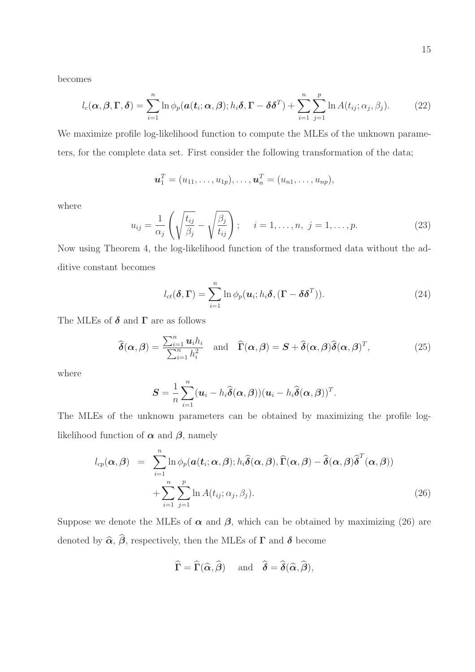becomes

$$
l_c(\boldsymbol{\alpha},\boldsymbol{\beta},\boldsymbol{\Gamma},\boldsymbol{\delta})=\sum_{i=1}^n\ln\phi_p(\boldsymbol{a}(t_i;\boldsymbol{\alpha},\boldsymbol{\beta});h_i\boldsymbol{\delta},\boldsymbol{\Gamma}-\boldsymbol{\delta}\boldsymbol{\delta}^T)+\sum_{i=1}^n\sum_{j=1}^p\ln A(t_{ij};\alpha_j,\beta_j).
$$
 (22)

We maximize profile log-likelihood function to compute the MLEs of the unknown parameters, for the complete data set. First consider the following transformation of the data;

$$
\bm{u}_1^T = (u_{11}, \ldots, u_{1p}), \ldots, \bm{u}_n^T = (u_{n1}, \ldots, u_{np}),
$$

where

$$
u_{ij} = \frac{1}{\alpha_j} \left( \sqrt{\frac{t_{ij}}{\beta_j}} - \sqrt{\frac{\beta_j}{t_{ij}}} \right); \quad i = 1, \dots, n, \ j = 1, \dots, p. \tag{23}
$$

Now using Theorem 4, the log-likelihood function of the transformed data without the additive constant becomes

$$
l_{ct}(\boldsymbol{\delta}, \boldsymbol{\Gamma}) = \sum_{i=1}^{n} \ln \phi_p(\boldsymbol{u}_i; h_i \boldsymbol{\delta}, (\boldsymbol{\Gamma} - \boldsymbol{\delta} \boldsymbol{\delta}^T)).
$$
\n(24)

The MLEs of  $\delta$  and  $\Gamma$  are as follows

$$
\widehat{\boldsymbol{\delta}}(\boldsymbol{\alpha},\boldsymbol{\beta}) = \frac{\sum_{i=1}^{n} u_i h_i}{\sum_{i=1}^{n} h_i^2} \quad \text{and} \quad \widehat{\boldsymbol{\Gamma}}(\boldsymbol{\alpha},\boldsymbol{\beta}) = \boldsymbol{S} + \widehat{\boldsymbol{\delta}}(\boldsymbol{\alpha},\boldsymbol{\beta}) \widehat{\boldsymbol{\delta}}(\boldsymbol{\alpha},\boldsymbol{\beta})^T,
$$
\n(25)

where

$$
\mathbf{S} = \frac{1}{n} \sum_{i=1}^{n} (\boldsymbol{u}_i - h_i \widehat{\boldsymbol{\delta}}(\boldsymbol{\alpha}, \boldsymbol{\beta})) (\boldsymbol{u}_i - h_i \widehat{\boldsymbol{\delta}}(\boldsymbol{\alpha}, \boldsymbol{\beta}))^T.
$$

The MLEs of the unknown parameters can be obtained by maximizing the profile loglikelihood function of  $\alpha$  and  $\beta$ , namely

$$
l_{cp}(\boldsymbol{\alpha},\boldsymbol{\beta}) = \sum_{i=1}^{n} \ln \phi_{p}(\boldsymbol{\alpha}(\boldsymbol{t}_{i};\boldsymbol{\alpha},\boldsymbol{\beta});h_{i}\widehat{\boldsymbol{\delta}}(\boldsymbol{\alpha},\boldsymbol{\beta}),\widehat{\boldsymbol{\Gamma}}(\boldsymbol{\alpha},\boldsymbol{\beta}) - \widehat{\boldsymbol{\delta}}(\boldsymbol{\alpha},\boldsymbol{\beta})\widehat{\boldsymbol{\delta}}^{T}(\boldsymbol{\alpha},\boldsymbol{\beta})) + \sum_{i=1}^{n} \sum_{j=1}^{p} \ln A(t_{ij};\alpha_{j},\beta_{j}).
$$
\n(26)

Suppose we denote the MLEs of  $\alpha$  and  $\beta$ , which can be obtained by maximizing (26) are denoted by  $\widehat{\alpha}$ ,  $\widehat{\beta}$ , respectively, then the MLEs of  $\Gamma$  and  $\delta$  become

$$
\widehat{\Gamma} = \widehat{\Gamma}(\widehat{\alpha}, \widehat{\beta}) \quad \text{and} \quad \widehat{\delta} = \widehat{\delta}(\widehat{\alpha}, \widehat{\beta}),
$$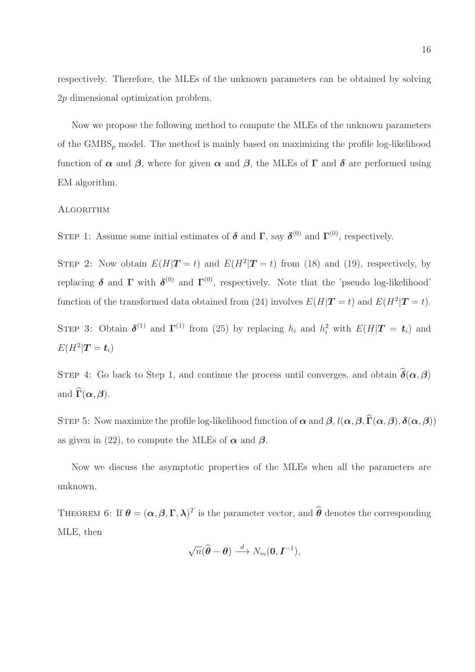respectively. Therefore, the MLEs of the unknown parameters can be obtained by solving 2p dimensional optimization problem.

Now we propose the following method to compute the MLEs of the unknown parameters of the  $\text{GMBS}_p$  model. The method is mainly based on maximizing the profile log-likelihood function of  $\alpha$  and  $\beta$ , where for given  $\alpha$  and  $\beta$ , the MLEs of  $\Gamma$  and  $\delta$  are performed using EM algorithm.

#### **ALGORITHM**

STEP 1: Assume some initial estimates of  $\delta$  and  $\Gamma$ , say  $\delta^{(0)}$  and  $\Gamma^{(0)}$ , respectively.

STEP 2: Now obtain  $E(H|\mathbf{T}=t)$  and  $E(H^2|\mathbf{T}=t)$  from (18) and (19), respectively, by replacing  $\delta$  and  $\Gamma$  with  $\delta^{(0)}$  and  $\Gamma^{(0)}$ , respectively. Note that the 'pseudo log-likelihood' function of the transformed data obtained from (24) involves  $E(H|\mathbf{T}=t)$  and  $E(H^2|\mathbf{T}=t)$ .

STEP 3: Obtain  $\delta^{(1)}$  and  $\Gamma^{(1)}$  from (25) by replacing  $h_i$  and  $h_i^2$  with  $E(H|\mathbf{T} = t_i)$  and  $E(H^2|\boldsymbol{T}=\boldsymbol{t}_i)$ 

STEP 4: Go back to Step 1, and continue the process until converges, and obtain  $\hat{\delta}(\alpha, \beta)$ and  $\widehat{\Gamma}(\alpha, \beta)$ .

STEP 5: Now maximize the profile log-likelihood function of  $\alpha$  and  $\beta$ ,  $l(\alpha, \beta, \widehat{\Gamma}(\alpha, \beta), \delta(\alpha, \beta))$ as given in (22), to compute the MLEs of  $\alpha$  and  $\beta$ .

Now we discuss the asymptotic properties of the MLEs when all the parameters are unknown.

THEOREM 6: If  $\boldsymbol{\theta} = (\boldsymbol{\alpha}, \boldsymbol{\beta}, \boldsymbol{\Gamma}, \boldsymbol{\lambda})^T$  is the parameter vector, and  $\widehat{\boldsymbol{\theta}}$  denotes the corresponding MLE, then

$$
\sqrt{n}(\widehat{\boldsymbol{\theta}}-\boldsymbol{\theta})\stackrel{d}{\longrightarrow}N_m(\mathbf{0},\boldsymbol{I}^{-1}),
$$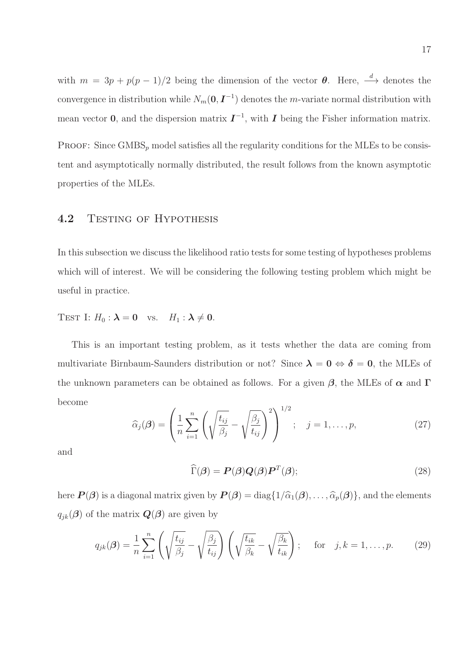with  $m = 3p + p(p-1)/2$  being the dimension of the vector  $\theta$ . Here,  $\stackrel{d}{\longrightarrow}$  denotes the convergence in distribution while  $N_m(0, I^{-1})$  denotes the m-variate normal distribution with mean vector 0, and the dispersion matrix  $\mathbf{I}^{-1}$ , with  $\mathbf{I}$  being the Fisher information matrix.

PROOF: Since  $\text{GMBS}_p$  model satisfies all the regularity conditions for the MLEs to be consistent and asymptotically normally distributed, the result follows from the known asymptotic properties of the MLEs.

### 4.2 TESTING OF HYPOTHESIS

In this subsection we discuss the likelihood ratio tests for some testing of hypotheses problems which will of interest. We will be considering the following testing problem which might be useful in practice.

TEST I:  $H_0$ :  $\lambda = 0$  vs.  $H_1$ :  $\lambda \neq 0$ .

This is an important testing problem, as it tests whether the data are coming from multivariate Birnbaum-Saunders distribution or not? Since  $\lambda = 0 \Leftrightarrow \delta = 0$ , the MLEs of the unknown parameters can be obtained as follows. For a given  $\beta$ , the MLEs of  $\alpha$  and  $\Gamma$ become

$$
\widehat{\alpha}_j(\boldsymbol{\beta}) = \left(\frac{1}{n}\sum_{i=1}^n \left(\sqrt{\frac{t_{ij}}{\beta_j}} - \sqrt{\frac{\beta_j}{t_{ij}}}\right)^2\right)^{1/2}; \quad j = 1, \dots, p,
$$
\n(27)

and

$$
\widehat{\Gamma}(\boldsymbol{\beta}) = \boldsymbol{P}(\boldsymbol{\beta})\boldsymbol{Q}(\boldsymbol{\beta})\boldsymbol{P}^T(\boldsymbol{\beta});
$$
\n(28)

here  $P(\beta)$  is a diagonal matrix given by  $P(\beta) = \text{diag}\{1/\hat{\alpha}_1(\beta), \ldots, \hat{\alpha}_p(\beta)\}\)$ , and the elements  $q_{jk}(\boldsymbol{\beta})$  of the matrix  $\boldsymbol{Q}(\boldsymbol{\beta})$  are given by

$$
q_{jk}(\boldsymbol{\beta}) = \frac{1}{n} \sum_{i=1}^{n} \left( \sqrt{\frac{t_{ij}}{\beta_j}} - \sqrt{\frac{\beta_j}{t_{ij}}} \right) \left( \sqrt{\frac{t_{ik}}{\beta_k}} - \sqrt{\frac{\beta_k}{t_{ik}}} \right); \quad \text{for} \quad j, k = 1, \dots, p. \tag{29}
$$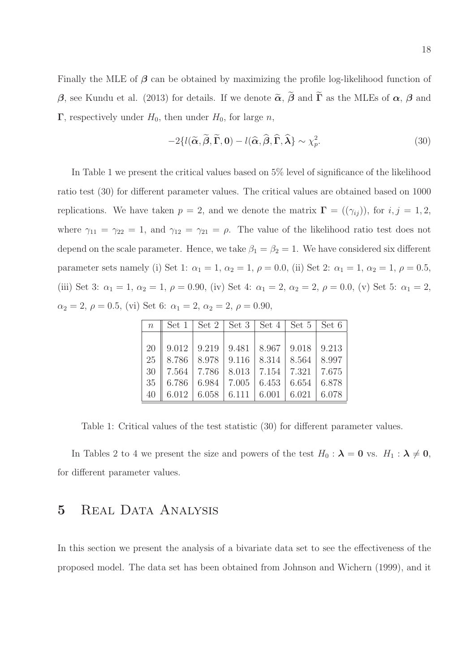Finally the MLE of  $\beta$  can be obtained by maximizing the profile log-likelihood function of β, see Kundu et al. (2013) for details. If we denote  $\tilde{\alpha}$ ,  $\tilde{\beta}$  and  $\tilde{\Gamma}$  as the MLEs of  $\alpha$ ,  $\beta$  and  $\Gamma$ , respectively under  $H_0$ , then under  $H_0$ , for large n,

$$
-2\{l(\widetilde{\alpha}, \widetilde{\beta}, \widetilde{\Gamma}, 0) - l(\widehat{\alpha}, \widehat{\beta}, \widehat{\Gamma}, \widehat{\lambda}) \sim \chi_p^2. \tag{30}
$$

In Table 1 we present the critical values based on 5% level of significance of the likelihood ratio test (30) for different parameter values. The critical values are obtained based on 1000 replications. We have taken  $p = 2$ , and we denote the matrix  $\mathbf{\Gamma} = ((\gamma_{ij}))$ , for  $i, j = 1, 2$ , where  $\gamma_{11} = \gamma_{22} = 1$ , and  $\gamma_{12} = \gamma_{21} = \rho$ . The value of the likelihood ratio test does not depend on the scale parameter. Hence, we take  $\beta_1 = \beta_2 = 1$ . We have considered six different parameter sets namely (i) Set 1:  $\alpha_1 = 1$ ,  $\alpha_2 = 1$ ,  $\rho = 0.0$ , (ii) Set 2:  $\alpha_1 = 1$ ,  $\alpha_2 = 1$ ,  $\rho = 0.5$ , (iii) Set 3:  $\alpha_1 = 1, \alpha_2 = 1, \rho = 0.90$ , (iv) Set 4:  $\alpha_1 = 2, \alpha_2 = 2, \rho = 0.0$ , (v) Set 5:  $\alpha_1 = 2$ ,  $\alpha_2 = 2, \, \rho = 0.5, \, \text{(vi)}$  Set 6:  $\alpha_1 = 2, \, \alpha_2 = 2, \, \rho = 0.90,$ 

| $n^{-1}$ |                                                           | Set 1   Set 2   Set 3   Set 4   Set 5   Set 6             |  |  |
|----------|-----------------------------------------------------------|-----------------------------------------------------------|--|--|
|          |                                                           |                                                           |  |  |
| 20       |                                                           | $9.012$   $9.219$   $9.481$   $8.967$   $9.018$   $9.213$ |  |  |
| 25       |                                                           | $8.786$   $8.978$   $9.116$   $8.314$   $8.564$   $8.997$ |  |  |
|          | 30   7.564   7.786   8.013   7.154   7.321   7.675        |                                                           |  |  |
| 35       | $\parallel$ 6.786   6.984   7.005   6.453   6.654   6.878 |                                                           |  |  |
| 40       |                                                           | $6.012$   6.058   6.111   6.001   6.021   6.078           |  |  |

Table 1: Critical values of the test statistic (30) for different parameter values.

In Tables 2 to 4 we present the size and powers of the test  $H_0 : \lambda = 0$  vs.  $H_1 : \lambda \neq 0$ , for different parameter values.

## 5 REAL DATA ANALYSIS

In this section we present the analysis of a bivariate data set to see the effectiveness of the proposed model. The data set has been obtained from Johnson and Wichern (1999), and it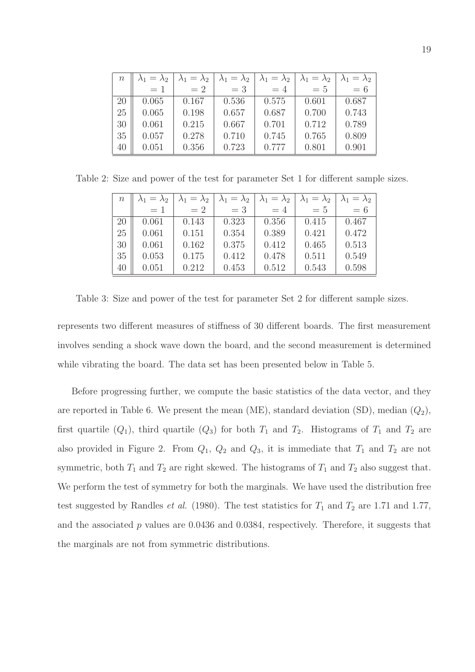| $\, n$ | $\lambda_1=\lambda_2$ | $\lambda_1=\lambda_2$ | $\lambda_1=\lambda_2$ | $\lambda_1=\lambda_2$ | $\lambda_1=\lambda_2$ | $\lambda_1=\lambda_2$ |
|--------|-----------------------|-----------------------|-----------------------|-----------------------|-----------------------|-----------------------|
|        | $=$ 1                 | $=2$                  | $=$ 3                 | $=4$                  | $=5$                  | $= 6$                 |
| 20     | 0.065                 | 0.167                 | 0.536                 | 0.575                 | 0.601                 | 0.687                 |
| 25     | 0.065                 | 0.198                 | 0.657                 | 0.687                 | 0.700                 | 0.743                 |
| 30     | 0.061                 | 0.215                 | 0.667                 | 0.701                 | 0.712                 | 0.789                 |
| 35     | 0.057                 | 0.278                 | 0.710                 | 0.745                 | 0.765                 | 0.809                 |
| 40     | 0.051                 | 0.356                 | 0.723                 | 0.777                 | 0.801                 | 0.901                 |

Table 2: Size and power of the test for parameter Set 1 for different sample sizes.

| $\, n$ | $\lambda_1=\lambda_2$ | $\lambda_1=\lambda_2$ | $\lambda_1 = \lambda_2$ | $\lambda_1 = \lambda_2$ | $\lambda_1 = \lambda_2$ | $\lambda_1=\lambda_2$ |
|--------|-----------------------|-----------------------|-------------------------|-------------------------|-------------------------|-----------------------|
|        | $=1$                  | $=2$                  | $=$ 3                   | $=4$                    | $=5$                    | $= 6$                 |
| 20     | 0.061                 | 0.143                 | 0.323                   | 0.356                   | 0.415                   | 0.467                 |
| 25     | 0.061                 | 0.151                 | 0.354                   | 0.389                   | 0.421                   | 0.472                 |
| 30     | 0.061                 | 0.162                 | 0.375                   | 0.412                   | 0.465                   | 0.513                 |
| 35     | 0.053                 | 0.175                 | 0.412                   | 0.478                   | 0.511                   | 0.549                 |
| 40     | 0.051                 | 0.212                 | 0.453                   | 0.512                   | 0.543                   | 0.598                 |

Table 3: Size and power of the test for parameter Set 2 for different sample sizes.

represents two different measures of stiffness of 30 different boards. The first measurement involves sending a shock wave down the board, and the second measurement is determined while vibrating the board. The data set has been presented below in Table 5.

Before progressing further, we compute the basic statistics of the data vector, and they are reported in Table 6. We present the mean (ME), standard deviation (SD), median  $(Q_2)$ , first quartile  $(Q_1)$ , third quartile  $(Q_3)$  for both  $T_1$  and  $T_2$ . Histograms of  $T_1$  and  $T_2$  are also provided in Figure 2. From  $Q_1$ ,  $Q_2$  and  $Q_3$ , it is immediate that  $T_1$  and  $T_2$  are not symmetric, both  $T_1$  and  $T_2$  are right skewed. The histograms of  $T_1$  and  $T_2$  also suggest that. We perform the test of symmetry for both the marginals. We have used the distribution free test suggested by Randles *et al.* (1980). The test statistics for  $T_1$  and  $T_2$  are 1.71 and 1.77, and the associated  $p$  values are 0.0436 and 0.0384, respectively. Therefore, it suggests that the marginals are not from symmetric distributions.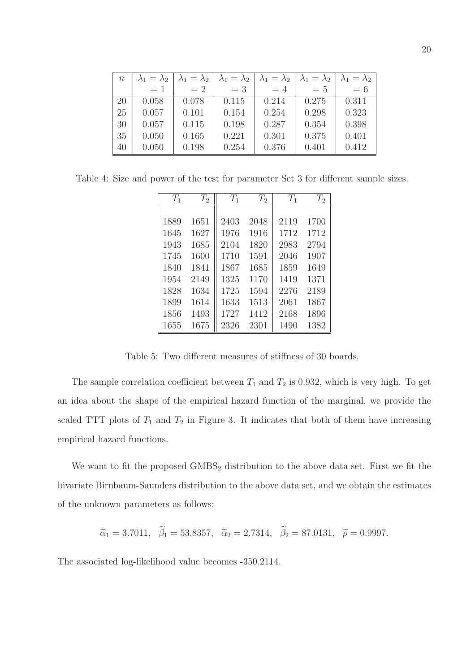| $\, n$ | $\lambda_1=\lambda_2$ | $\lambda_1=\lambda_2$ | $\lambda_1=\lambda_2$ | $\lambda_1=\lambda_2$ | $\lambda_1=\lambda_2$ | $\lambda_1 = \lambda_2$ |
|--------|-----------------------|-----------------------|-----------------------|-----------------------|-----------------------|-------------------------|
|        | $=1$                  | $=2$                  | $=$ 3                 | $=4$                  | $=5$                  | $= 6$                   |
| 20     | 0.058                 | 0.078                 | 0.115                 | 0.214                 | 0.275                 | 0.311                   |
| 25     | 0.057                 | 0.101                 | 0.154                 | 0.254                 | 0.298                 | 0.323                   |
| 30     | 0.057                 | 0.115                 | 0.198                 | 0.287                 | 0.354                 | 0.398                   |
| 35     | 0.050                 | 0.165                 | 0.221                 | 0.301                 | 0.375                 | 0.401                   |
| 40     | 0.050                 | 0.198                 | 0.254                 | 0.376                 | 0.401                 | 0.412                   |

Table 4: Size and power of the test for parameter Set 3 for different sample sizes.

| $T_1$ | $T_2$ | $T_1$ | $T_2$ | $T_1$ | $T_2$ |
|-------|-------|-------|-------|-------|-------|
|       |       |       |       |       |       |
| 1889  | 1651  | 2403  | 2048  | 2119  | 1700  |
| 1645  | 1627  | 1976  | 1916  | 1712  | 1712  |
| 1943  | 1685  | 2104  | 1820  | 2983  | 2794  |
| 1745  | 1600  | 1710  | 1591  | 2046  | 1907  |
| 1840  | 1841  | 1867  | 1685  | 1859  | 1649  |
| 1954  | 2149  | 1325  | 1170  | 1419  | 1371  |
| 1828  | 1634  | 1725  | 1594  | 2276  | 2189  |
| 1899  | 1614  | 1633  | 1513  | 2061  | 1867  |
| 1856  | 1493  | 1727  | 1412  | 2168  | 1896  |
| 1655  | 1675  | 2326  | 2301  | 1490  | 1382  |

Table 5: Two different measures of stiffness of 30 boards.

The sample correlation coefficient between  $T_1$  and  $T_2$  is 0.932, which is very high. To get an idea about the shape of the empirical hazard function of the marginal, we provide the scaled TTT plots of  $T_1$  and  $T_2$  in Figure 3. It indicates that both of them have increasing empirical hazard functions.

We want to fit the proposed  $GMBS<sub>2</sub>$  distribution to the above data set. First we fit the bivariate Birnbaum-Saunders distribution to the above data set, and we obtain the estimates of the unknown parameters as follows:

$$
\tilde{\alpha}_1 = 3.7011, \quad \tilde{\beta}_1 = 53.8357, \quad \tilde{\alpha}_2 = 2.7314, \quad \tilde{\beta}_2 = 87.0131, \quad \tilde{\rho} = 0.9997.
$$

The associated log-likelihood value becomes -350.2114.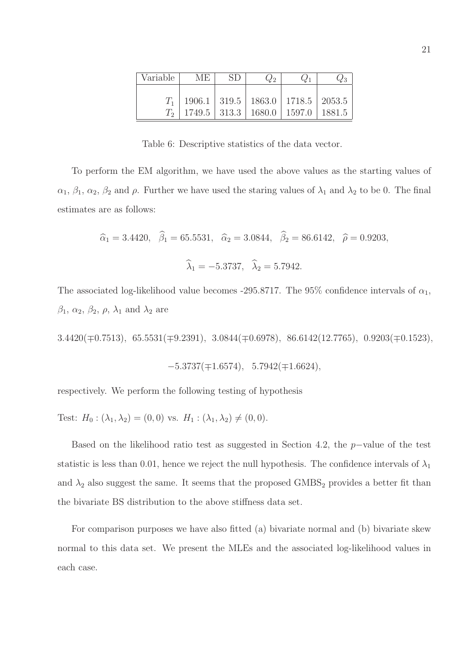| Variable | MF. | $\omega_2$                                  |        |
|----------|-----|---------------------------------------------|--------|
|          |     |                                             |        |
|          |     | $1906.1$   319.5   1863.0   1718.5   2053.5 |        |
|          |     | $1749.5$   313.3   1680.0   1597.0          | 1881.5 |

Table 6: Descriptive statistics of the data vector.

To perform the EM algorithm, we have used the above values as the starting values of  $\alpha_1, \beta_1, \alpha_2, \beta_2$  and  $\rho$ . Further we have used the staring values of  $\lambda_1$  and  $\lambda_2$  to be 0. The final estimates are as follows:

$$
\hat{\alpha}_1 = 3.4420, \quad \hat{\beta}_1 = 65.5531, \quad \hat{\alpha}_2 = 3.0844, \quad \hat{\beta}_2 = 86.6142, \quad \hat{\rho} = 0.9203,
$$
  
 $\hat{\lambda}_1 = -5.3737, \quad \hat{\lambda}_2 = 5.7942.$ 

The associated log-likelihood value becomes -295.8717. The 95% confidence intervals of  $\alpha_1$ ,  $\beta_1$ ,  $\alpha_2$ ,  $\beta_2$ ,  $\rho$ ,  $\lambda_1$  and  $\lambda_2$  are

3.4420(∓0.7513), 65.5531(∓9.2391), 3.0844(∓0.6978), 86.6142(12.7765), 0.9203(∓0.1523),

$$
-5.3737(\pm 1.6574), \ \ 5.7942(\pm 1.6624),
$$

respectively. We perform the following testing of hypothesis

Test:  $H_0$ :  $(\lambda_1, \lambda_2) = (0, 0)$  vs.  $H_1$ :  $(\lambda_1, \lambda_2) \neq (0, 0)$ .

Based on the likelihood ratio test as suggested in Section 4.2, the p−value of the test statistic is less than 0.01, hence we reject the null hypothesis. The confidence intervals of  $\lambda_1$ and  $\lambda_2$  also suggest the same. It seems that the proposed GMBS<sub>2</sub> provides a better fit than the bivariate BS distribution to the above stiffness data set.

For comparison purposes we have also fitted (a) bivariate normal and (b) bivariate skew normal to this data set. We present the MLEs and the associated log-likelihood values in each case.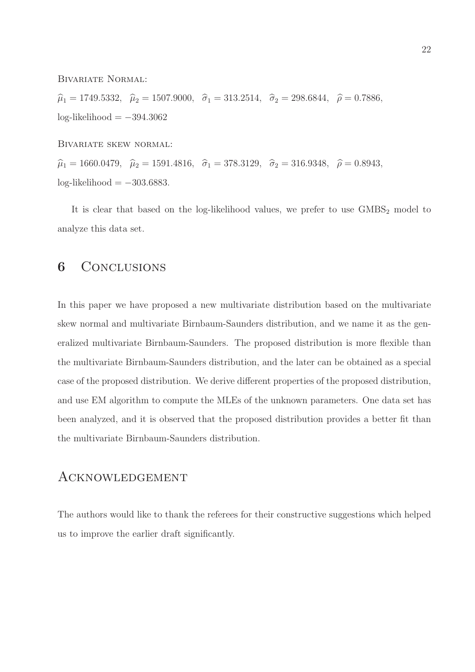Bivariate Normal:

 $\widehat{\mu}_1 = 1749.5332, \quad \widehat{\mu}_2 = 1507.9000, \quad \widehat{\sigma}_1 = 313.2514, \quad \widehat{\sigma}_2 = 298.6844, \quad \widehat{\rho} = 0.7886,$  $log-likelihood = -394.3062$ 

Bivariate skew normal:

 $\hat{\mu}_1 = 1660.0479, \quad \hat{\mu}_2 = 1591.4816, \quad \hat{\sigma}_1 = 378.3129, \quad \hat{\sigma}_2 = 316.9348, \quad \hat{\rho} = 0.8943,$  $log-likelihood = -303.6883$ .

It is clear that based on the log-likelihood values, we prefer to use  $GMBS<sub>2</sub>$  model to analyze this data set.

## 6 CONCLUSIONS

In this paper we have proposed a new multivariate distribution based on the multivariate skew normal and multivariate Birnbaum-Saunders distribution, and we name it as the generalized multivariate Birnbaum-Saunders. The proposed distribution is more flexible than the multivariate Birnbaum-Saunders distribution, and the later can be obtained as a special case of the proposed distribution. We derive different properties of the proposed distribution, and use EM algorithm to compute the MLEs of the unknown parameters. One data set has been analyzed, and it is observed that the proposed distribution provides a better fit than the multivariate Birnbaum-Saunders distribution.

### Acknowledgement

The authors would like to thank the referees for their constructive suggestions which helped us to improve the earlier draft significantly.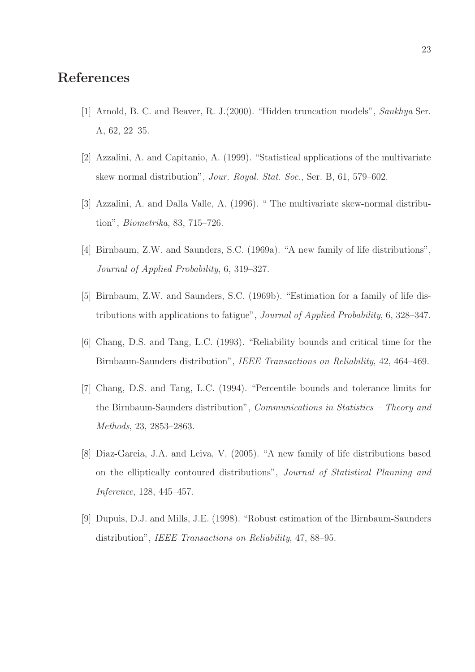## References

- [1] Arnold, B. C. and Beaver, R. J.(2000). "Hidden truncation models", Sankhya Ser. A, 62, 22–35.
- [2] Azzalini, A. and Capitanio, A. (1999). "Statistical applications of the multivariate skew normal distribution", Jour. Royal. Stat. Soc., Ser. B, 61, 579–602.
- [3] Azzalini, A. and Dalla Valle, A. (1996). " The multivariate skew-normal distribution", Biometrika, 83, 715–726.
- [4] Birnbaum, Z.W. and Saunders, S.C. (1969a). "A new family of life distributions", Journal of Applied Probability, 6, 319–327.
- [5] Birnbaum, Z.W. and Saunders, S.C. (1969b). "Estimation for a family of life distributions with applications to fatigue", Journal of Applied Probability, 6, 328–347.
- [6] Chang, D.S. and Tang, L.C. (1993). "Reliability bounds and critical time for the Birnbaum-Saunders distribution", IEEE Transactions on Reliability, 42, 464–469.
- [7] Chang, D.S. and Tang, L.C. (1994). "Percentile bounds and tolerance limits for the Birnbaum-Saunders distribution", Communications in Statistics – Theory and Methods, 23, 2853–2863.
- [8] Diaz-Garcia, J.A. and Leiva, V. (2005). "A new family of life distributions based on the elliptically contoured distributions", Journal of Statistical Planning and Inference, 128, 445–457.
- [9] Dupuis, D.J. and Mills, J.E. (1998). "Robust estimation of the Birnbaum-Saunders distribution", IEEE Transactions on Reliability, 47, 88–95.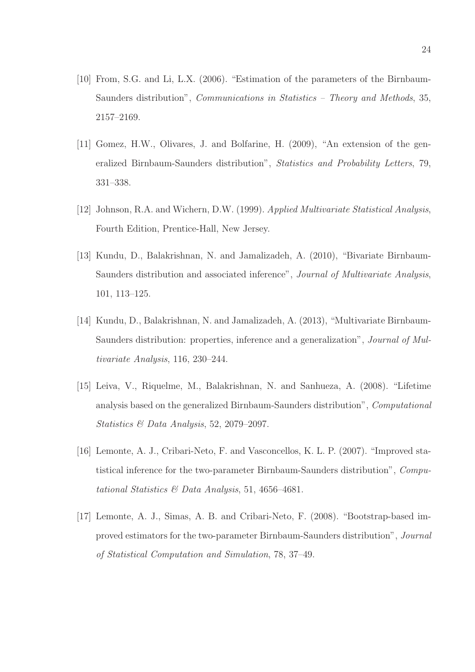- [10] From, S.G. and Li, L.X. (2006). "Estimation of the parameters of the Birnbaum-Saunders distribution", Communications in Statistics – Theory and Methods, 35, 2157–2169.
- [11] Gomez, H.W., Olivares, J. and Bolfarine, H. (2009), "An extension of the generalized Birnbaum-Saunders distribution", Statistics and Probability Letters, 79, 331–338.
- [12] Johnson, R.A. and Wichern, D.W. (1999). Applied Multivariate Statistical Analysis, Fourth Edition, Prentice-Hall, New Jersey.
- [13] Kundu, D., Balakrishnan, N. and Jamalizadeh, A. (2010), "Bivariate Birnbaum-Saunders distribution and associated inference", Journal of Multivariate Analysis, 101, 113–125.
- [14] Kundu, D., Balakrishnan, N. and Jamalizadeh, A. (2013), "Multivariate Birnbaum-Saunders distribution: properties, inference and a generalization", Journal of Multivariate Analysis, 116, 230–244.
- [15] Leiva, V., Riquelme, M., Balakrishnan, N. and Sanhueza, A. (2008). "Lifetime analysis based on the generalized Birnbaum-Saunders distribution", Computational Statistics & Data Analysis, 52, 2079–2097.
- [16] Lemonte, A. J., Cribari-Neto, F. and Vasconcellos, K. L. P. (2007). "Improved statistical inference for the two-parameter Birnbaum-Saunders distribution", Computational Statistics & Data Analysis, 51, 4656–4681.
- [17] Lemonte, A. J., Simas, A. B. and Cribari-Neto, F. (2008). "Bootstrap-based improved estimators for the two-parameter Birnbaum-Saunders distribution", Journal of Statistical Computation and Simulation, 78, 37–49.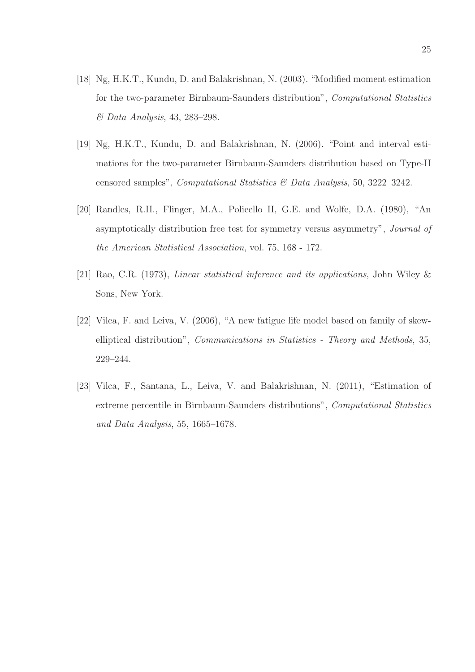- [18] Ng, H.K.T., Kundu, D. and Balakrishnan, N. (2003). "Modified moment estimation for the two-parameter Birnbaum-Saunders distribution", Computational Statistics & Data Analysis, 43, 283–298.
- [19] Ng, H.K.T., Kundu, D. and Balakrishnan, N. (2006). "Point and interval estimations for the two-parameter Birnbaum-Saunders distribution based on Type-II censored samples", Computational Statistics & Data Analysis, 50, 3222–3242.
- [20] Randles, R.H., Flinger, M.A., Policello II, G.E. and Wolfe, D.A. (1980), "An asymptotically distribution free test for symmetry versus asymmetry", Journal of the American Statistical Association, vol. 75, 168 - 172.
- [21] Rao, C.R. (1973), Linear statistical inference and its applications, John Wiley & Sons, New York.
- [22] Vilca, F. and Leiva, V. (2006), "A new fatigue life model based on family of skewelliptical distribution", Communications in Statistics - Theory and Methods, 35, 229–244.
- [23] Vilca, F., Santana, L., Leiva, V. and Balakrishnan, N. (2011), "Estimation of extreme percentile in Birnbaum-Saunders distributions", Computational Statistics and Data Analysis, 55, 1665–1678.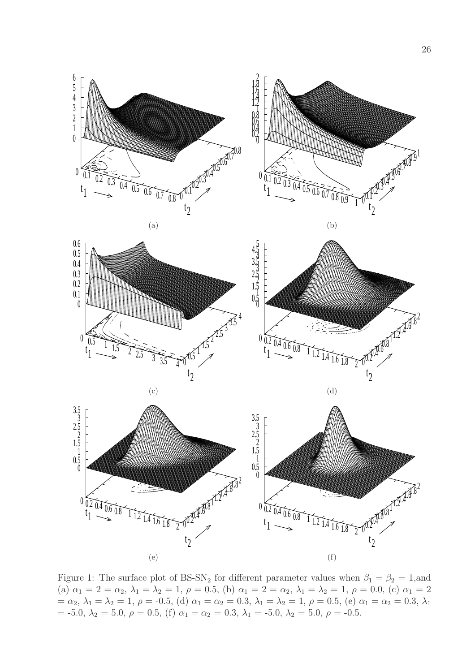

Figure 1: The surface plot of BS-SN<sub>2</sub> for different parameter values when  $\beta_1 = \beta_2 = 1$ , and (a)  $\alpha_1 = 2 = \alpha_2, \lambda_1 = \lambda_2 = 1, \rho = 0.5,$  (b)  $\alpha_1 = 2 = \alpha_2, \lambda_1 = \lambda_2 = 1, \rho = 0.0,$  (c)  $\alpha_1 = 2$ =  $\alpha_2$ ,  $\lambda_1 = \lambda_2 = 1$ ,  $\rho = -0.5$ , (d)  $\alpha_1 = \alpha_2 = 0.3$ ,  $\lambda_1 = \lambda_2 = 1$ ,  $\rho = 0.5$ , (e)  $\alpha_1 = \alpha_2 = 0.3$ ,  $\lambda_1$ = -5.0,  $\lambda_2 = 5.0$ ,  $\rho = 0.5$ , (f)  $\alpha_1 = \alpha_2 = 0.3$ ,  $\lambda_1 = -5.0$ ,  $\lambda_2 = 5.0$ ,  $\rho = -0.5$ .